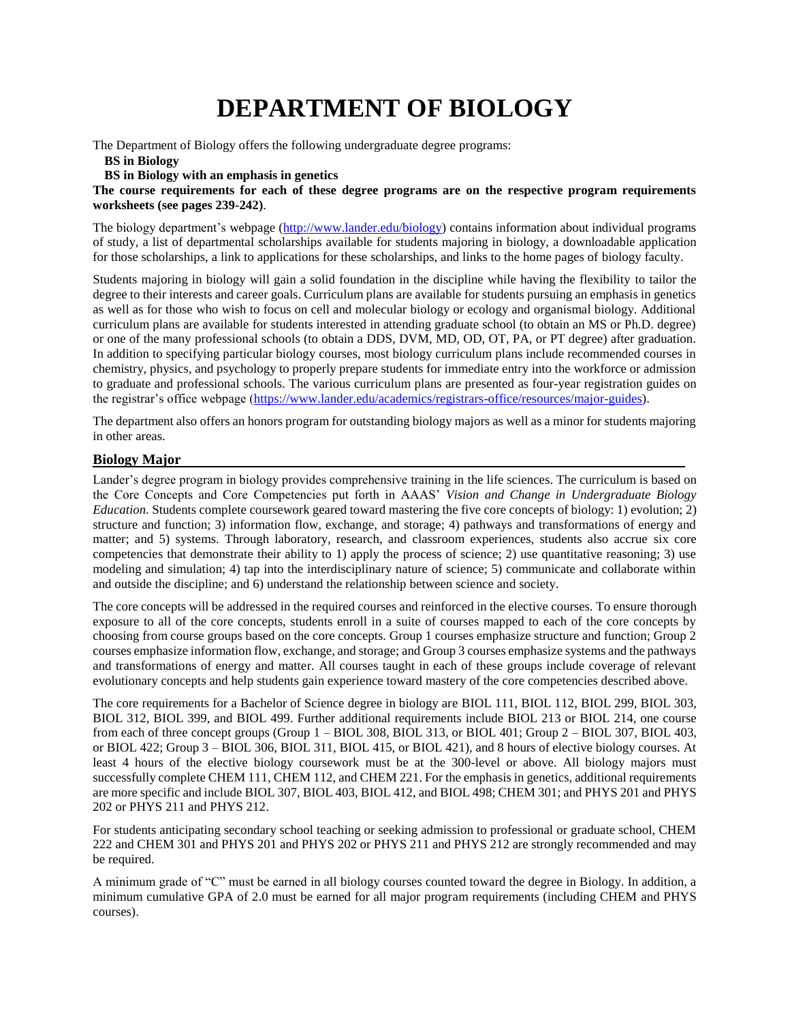# **DEPARTMENT OF BIOLOGY**

The Department of Biology offers the following undergraduate degree programs:

#### **BS in Biology**

### **BS in Biology with an emphasis in genetics**

**The course requirements for each of these degree programs are on the respective program requirements worksheets (see pages 239-242)**.

The biology department's webpage [\(http://www.lander.edu/biology\)](http://www.lander.edu/biology) contains information about individual programs of study, a list of departmental scholarships available for students majoring in biology, a downloadable application for those scholarships, a link to applications for these scholarships, and links to the home pages of biology faculty.

Students majoring in biology will gain a solid foundation in the discipline while having the flexibility to tailor the degree to their interests and career goals. Curriculum plans are available for students pursuing an emphasis in genetics as well as for those who wish to focus on cell and molecular biology or ecology and organismal biology. Additional curriculum plans are available for students interested in attending graduate school (to obtain an MS or Ph.D. degree) or one of the many professional schools (to obtain a DDS, DVM, MD, OD, OT, PA, or PT degree) after graduation. In addition to specifying particular biology courses, most biology curriculum plans include recommended courses in chemistry, physics, and psychology to properly prepare students for immediate entry into the workforce or admission to graduate and professional schools. The various curriculum plans are presented as four-year registration guides on the registrar's office webpage [\(https://www.lander.edu/academics/registrars-office/resources/major-guides\)](https://www.lander.edu/academics/registrars-office/resources/major-guides).

The department also offers an honors program for outstanding biology majors as well as a minor for students majoring in other areas.

### **Biology Major**

Lander's degree program in biology provides comprehensive training in the life sciences. The curriculum is based on the Core Concepts and Core Competencies put forth in AAAS' *Vision and Change in Undergraduate Biology Education.* Students complete coursework geared toward mastering the five core concepts of biology: 1) evolution; 2) structure and function; 3) information flow, exchange, and storage; 4) pathways and transformations of energy and matter; and 5) systems. Through laboratory, research, and classroom experiences, students also accrue six core competencies that demonstrate their ability to 1) apply the process of science; 2) use quantitative reasoning; 3) use modeling and simulation; 4) tap into the interdisciplinary nature of science; 5) communicate and collaborate within and outside the discipline; and 6) understand the relationship between science and society.

The core concepts will be addressed in the required courses and reinforced in the elective courses. To ensure thorough exposure to all of the core concepts, students enroll in a suite of courses mapped to each of the core concepts by choosing from course groups based on the core concepts. Group 1 courses emphasize structure and function; Group 2 courses emphasize information flow, exchange, and storage; and Group 3 courses emphasize systems and the pathways and transformations of energy and matter. All courses taught in each of these groups include coverage of relevant evolutionary concepts and help students gain experience toward mastery of the core competencies described above.

The core requirements for a Bachelor of Science degree in biology are BIOL 111, BIOL 112, BIOL 299, BIOL 303, BIOL 312, BIOL 399, and BIOL 499. Further additional requirements include BIOL 213 or BIOL 214, one course from each of three concept groups (Group 1 – BIOL 308, BIOL 313, or BIOL 401; Group 2 – BIOL 307, BIOL 403, or BIOL 422; Group 3 – BIOL 306, BIOL 311, BIOL 415, or BIOL 421), and 8 hours of elective biology courses. At least 4 hours of the elective biology coursework must be at the 300-level or above. All biology majors must successfully complete CHEM 111, CHEM 112, and CHEM 221. For the emphasis in genetics, additional requirements are more specific and include BIOL 307, BIOL 403, BIOL 412, and BIOL 498; CHEM 301; and PHYS 201 and PHYS 202 or PHYS 211 and PHYS 212.

For students anticipating secondary school teaching or seeking admission to professional or graduate school, CHEM 222 and CHEM 301 and PHYS 201 and PHYS 202 or PHYS 211 and PHYS 212 are strongly recommended and may be required.

A minimum grade of "C" must be earned in all biology courses counted toward the degree in Biology. In addition, a minimum cumulative GPA of 2.0 must be earned for all major program requirements (including CHEM and PHYS courses).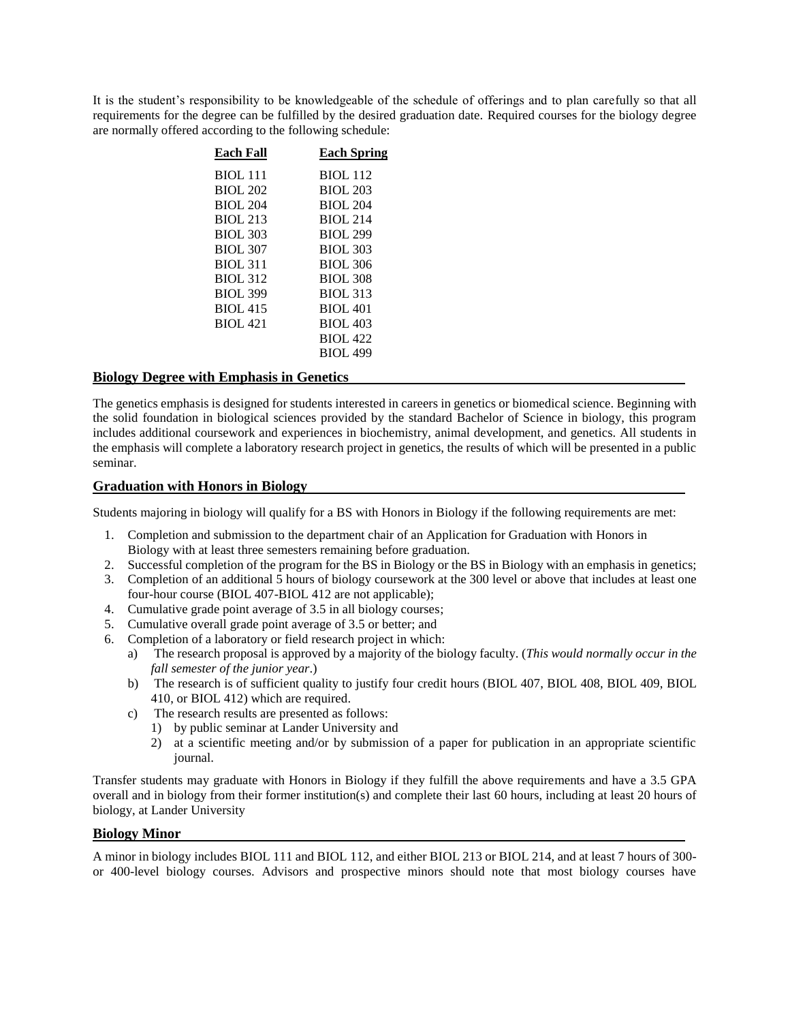It is the student's responsibility to be knowledgeable of the schedule of offerings and to plan carefully so that all requirements for the degree can be fulfilled by the desired graduation date. Required courses for the biology degree are normally offered according to the following schedule:

| Each Fall       | <b>Each Spring</b> |
|-----------------|--------------------|
| <b>BIOL 111</b> | <b>BIOL 112</b>    |
| <b>BIOL 202</b> | <b>BIOL 203</b>    |
| <b>BIOL 204</b> | <b>BIOL 204</b>    |
| <b>BIOL 213</b> | <b>BIOL 214</b>    |
| <b>BIOL 303</b> | <b>BIOL 299</b>    |
| <b>BIOL 307</b> | <b>BIOL 303</b>    |
| <b>BIOL 311</b> | <b>BIOL 306</b>    |
| <b>BIOL 312</b> | <b>BIOL 308</b>    |
| <b>BIOL 399</b> | <b>BIOL 313</b>    |
| <b>BIOL 415</b> | <b>BIOL 401</b>    |
| <b>BIOL 421</b> | <b>BIOL 403</b>    |
|                 | <b>BIOL 422</b>    |
|                 | <b>BIOL 499</b>    |
|                 |                    |

# **Biology Degree with Emphasis in Genetics**

The genetics emphasis is designed for students interested in careers in genetics or biomedical science. Beginning with the solid foundation in biological sciences provided by the standard Bachelor of Science in biology, this program includes additional coursework and experiences in biochemistry, animal development, and genetics. All students in the emphasis will complete a laboratory research project in genetics, the results of which will be presented in a public seminar.

# **Graduation with Honors in Biology**

Students majoring in biology will qualify for a BS with Honors in Biology if the following requirements are met:

- 1. Completion and submission to the department chair of an Application for Graduation with Honors in Biology with at least three semesters remaining before graduation.
- 2. Successful completion of the program for the BS in Biology or the BS in Biology with an emphasis in genetics;
- 3. Completion of an additional 5 hours of biology coursework at the 300 level or above that includes at least one four-hour course (BIOL 407-BIOL 412 are not applicable);
- 4. Cumulative grade point average of 3.5 in all biology courses;
- 5. Cumulative overall grade point average of 3.5 or better; and
- 6. Completion of a laboratory or field research project in which:
	- a) The research proposal is approved by a majority of the biology faculty. (*This would normally occur in the fall semester of the junior year*.)
	- b) The research is of sufficient quality to justify four credit hours (BIOL 407, BIOL 408, BIOL 409, BIOL 410, or BIOL 412) which are required.
	- c) The research results are presented as follows:
		- 1) by public seminar at Lander University and
		- 2) at a scientific meeting and/or by submission of a paper for publication in an appropriate scientific journal.

Transfer students may graduate with Honors in Biology if they fulfill the above requirements and have a 3.5 GPA overall and in biology from their former institution(s) and complete their last 60 hours, including at least 20 hours of biology, at Lander University

### **Biology Minor**

A minor in biology includes BIOL 111 and BIOL 112, and either BIOL 213 or BIOL 214, and at least 7 hours of 300 or 400-level biology courses. Advisors and prospective minors should note that most biology courses have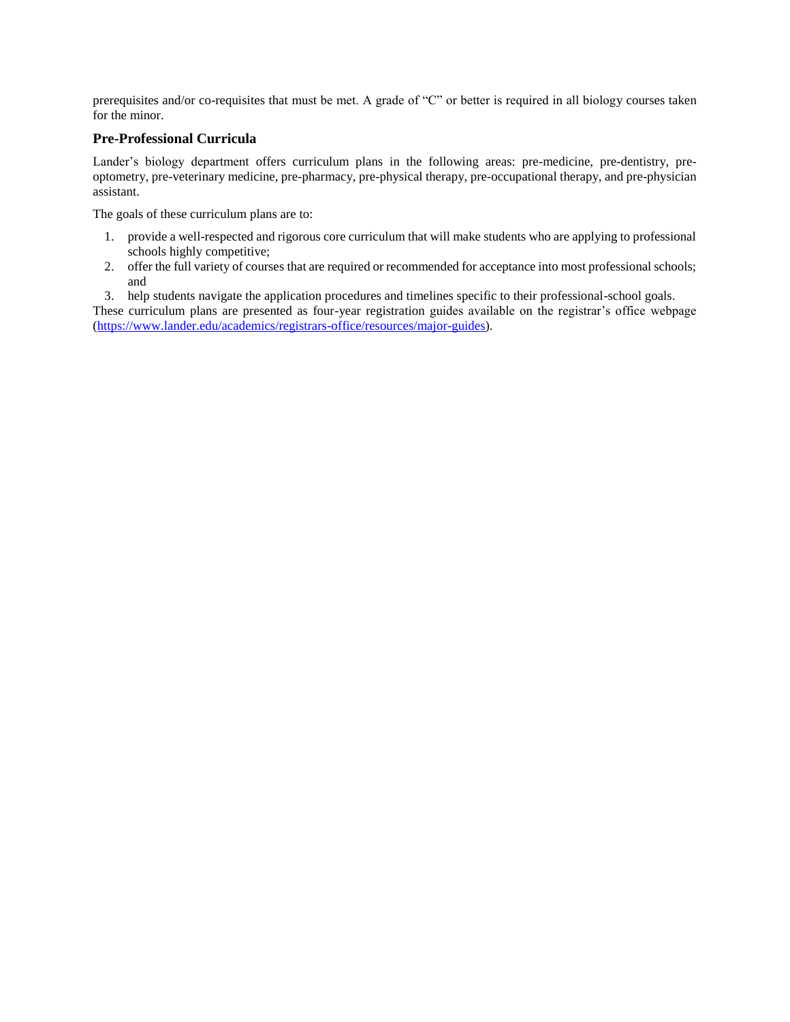prerequisites and/or co-requisites that must be met. A grade of "C" or better is required in all biology courses taken for the minor.

## **Pre-Professional Curricula**

Lander's biology department offers curriculum plans in the following areas: pre-medicine, pre-dentistry, preoptometry, pre-veterinary medicine, pre-pharmacy, pre-physical therapy, pre-occupational therapy, and pre-physician assistant.

The goals of these curriculum plans are to:

- 1. provide a well-respected and rigorous core curriculum that will make students who are applying to professional schools highly competitive;
- 2. offer the full variety of courses that are required or recommended for acceptance into most professional schools; and

3. help students navigate the application procedures and timelines specific to their professional-school goals.

These curriculum plans are presented as four-year registration guides available on the registrar's office webpage [\(https://www.lander.edu/academics/registrars-office/resources/major-guides\)](https://www.lander.edu/academics/registrars-office/resources/major-guides).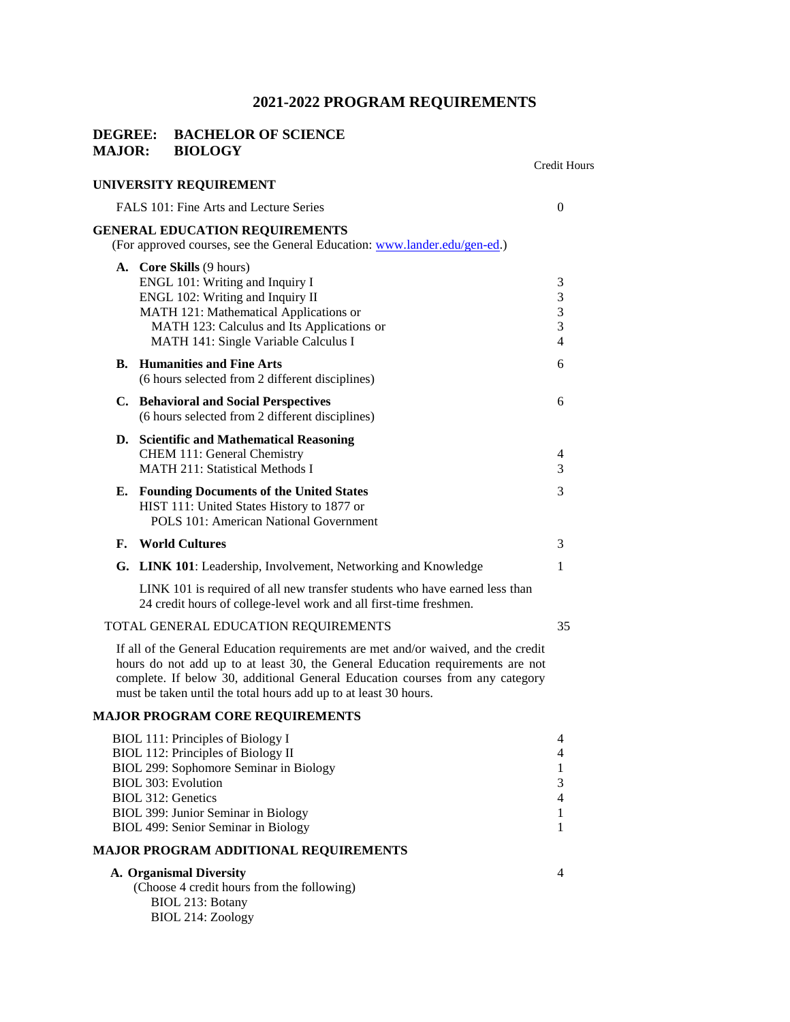# **2021-2022 PROGRAM REQUIREMENTS**

### **DEGREE: BACHELOR OF SCIENCE MAJOR: BIOLOGY**

|                |                                                                                                                                                                                                                                        | <b>Credit Hours</b>                |
|----------------|----------------------------------------------------------------------------------------------------------------------------------------------------------------------------------------------------------------------------------------|------------------------------------|
|                | UNIVERSITY REQUIREMENT                                                                                                                                                                                                                 |                                    |
|                | FALS 101: Fine Arts and Lecture Series                                                                                                                                                                                                 | $\Omega$                           |
|                | <b>GENERAL EDUCATION REQUIREMENTS</b><br>(For approved courses, see the General Education: www.lander.edu/gen-ed.)                                                                                                                     |                                    |
|                | <b>A.</b> Core Skills (9 hours)<br>ENGL 101: Writing and Inquiry I<br>ENGL 102: Writing and Inquiry II<br>MATH 121: Mathematical Applications or<br>MATH 123: Calculus and Its Applications or<br>MATH 141: Single Variable Calculus I | 3<br>3<br>3<br>3<br>$\overline{4}$ |
| $\mathbf{B}$ . | <b>Humanities and Fine Arts</b><br>(6 hours selected from 2 different disciplines)                                                                                                                                                     | 6                                  |
|                | C. Behavioral and Social Perspectives<br>(6 hours selected from 2 different disciplines)                                                                                                                                               | 6                                  |
|                | D. Scientific and Mathematical Reasoning<br>CHEM 111: General Chemistry<br><b>MATH 211: Statistical Methods I</b>                                                                                                                      | 4<br>3                             |
|                | E. Founding Documents of the United States<br>HIST 111: United States History to 1877 or<br><b>POLS 101: American National Government</b>                                                                                              | $\mathcal{E}$                      |
| F.             | <b>World Cultures</b>                                                                                                                                                                                                                  | 3                                  |
|                | G. LINK 101: Leadership, Involvement, Networking and Knowledge                                                                                                                                                                         | 1                                  |
|                | LINK 101 is required of all new transfer students who have earned less than<br>24 credit hours of college-level work and all first-time freshmen.                                                                                      |                                    |
|                | TOTAL GENERAL EDUCATION REQUIREMENTS                                                                                                                                                                                                   | 35                                 |
|                |                                                                                                                                                                                                                                        |                                    |

If all of the General Education requirements are met and/or waived, and the credit hours do not add up to at least 30, the General Education requirements are not complete. If below 30, additional General Education courses from any category must be taken until the total hours add up to at least 30 hours.

### **MAJOR PROGRAM CORE REQUIREMENTS**

| A. Organismal Diversity                      | 4 |
|----------------------------------------------|---|
| <b>MAJOR PROGRAM ADDITIONAL REQUIREMENTS</b> |   |
| BIOL 499: Senior Seminar in Biology          |   |
| BIOL 399: Junior Seminar in Biology          |   |
| BIOL 312: Genetics                           | 4 |
| BIOL 303: Evolution                          | 3 |
| BIOL 299: Sophomore Seminar in Biology       |   |
| BIOL 112: Principles of Biology II           | 4 |
| BIOL 111: Principles of Biology I            | 4 |

|                   | (Choose 4 credit hours from the following) |  |
|-------------------|--------------------------------------------|--|
| BIOL 213: Botany  |                                            |  |
| BIOL 214: Zoology |                                            |  |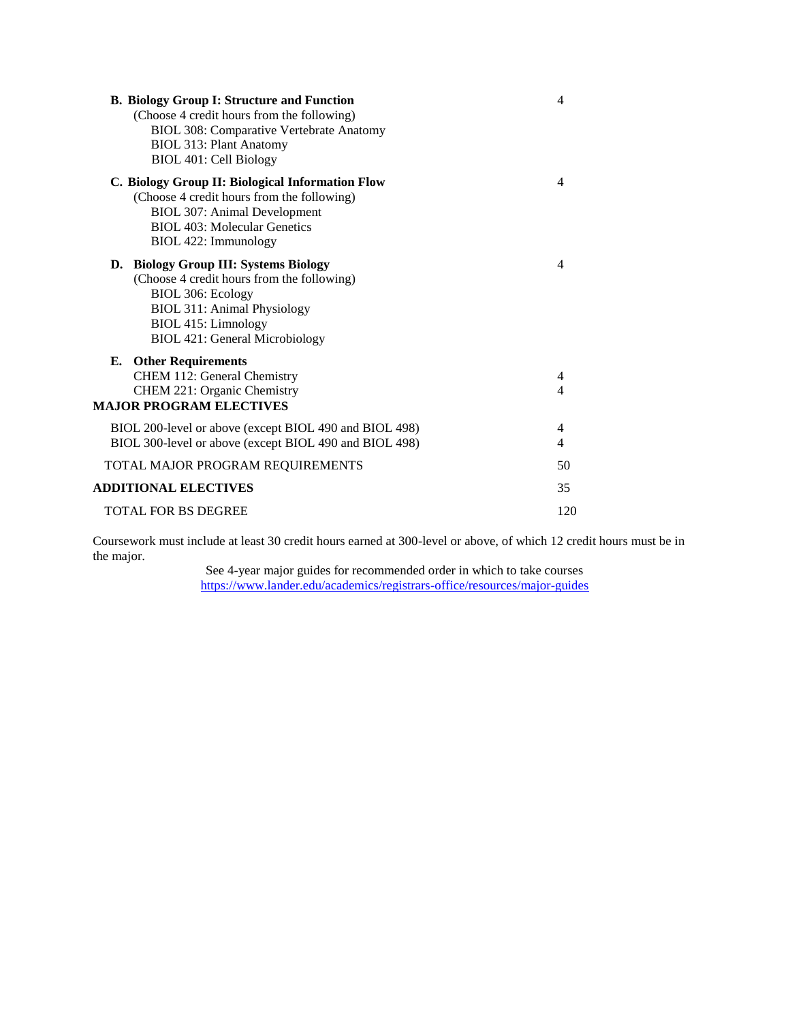| <b>B. Biology Group I: Structure and Function</b><br>(Choose 4 credit hours from the following)<br><b>BIOL 308: Comparative Vertebrate Anatomy</b><br><b>BIOL 313: Plant Anatomy</b><br>BIOL 401: Cell Biology | 4      |
|----------------------------------------------------------------------------------------------------------------------------------------------------------------------------------------------------------------|--------|
| C. Biology Group II: Biological Information Flow<br>(Choose 4 credit hours from the following)<br><b>BIOL 307: Animal Development</b><br><b>BIOL 403: Molecular Genetics</b><br>BIOL 422: Immunology           | 4      |
| D. Biology Group III: Systems Biology<br>(Choose 4 credit hours from the following)<br>BIOL 306: Ecology<br><b>BIOL 311: Animal Physiology</b><br>BIOL 415: Limnology<br><b>BIOL 421: General Microbiology</b> | 4      |
| <b>E.</b> Other Requirements<br>CHEM 112: General Chemistry<br>CHEM 221: Organic Chemistry<br><b>MAJOR PROGRAM ELECTIVES</b>                                                                                   | 4<br>4 |
| BIOL 200-level or above (except BIOL 490 and BIOL 498)<br>BIOL 300-level or above (except BIOL 490 and BIOL 498)                                                                                               | 4<br>4 |
| TOTAL MAJOR PROGRAM REQUIREMENTS                                                                                                                                                                               | 50     |
| <b>ADDITIONAL ELECTIVES</b>                                                                                                                                                                                    | 35     |
| <b>TOTAL FOR BS DEGREE</b>                                                                                                                                                                                     | 120    |

Coursework must include at least 30 credit hours earned at 300-level or above, of which 12 credit hours must be in the major.

> See 4-year major guides for recommended order in which to take courses <https://www.lander.edu/academics/registrars-office/resources/major-guides>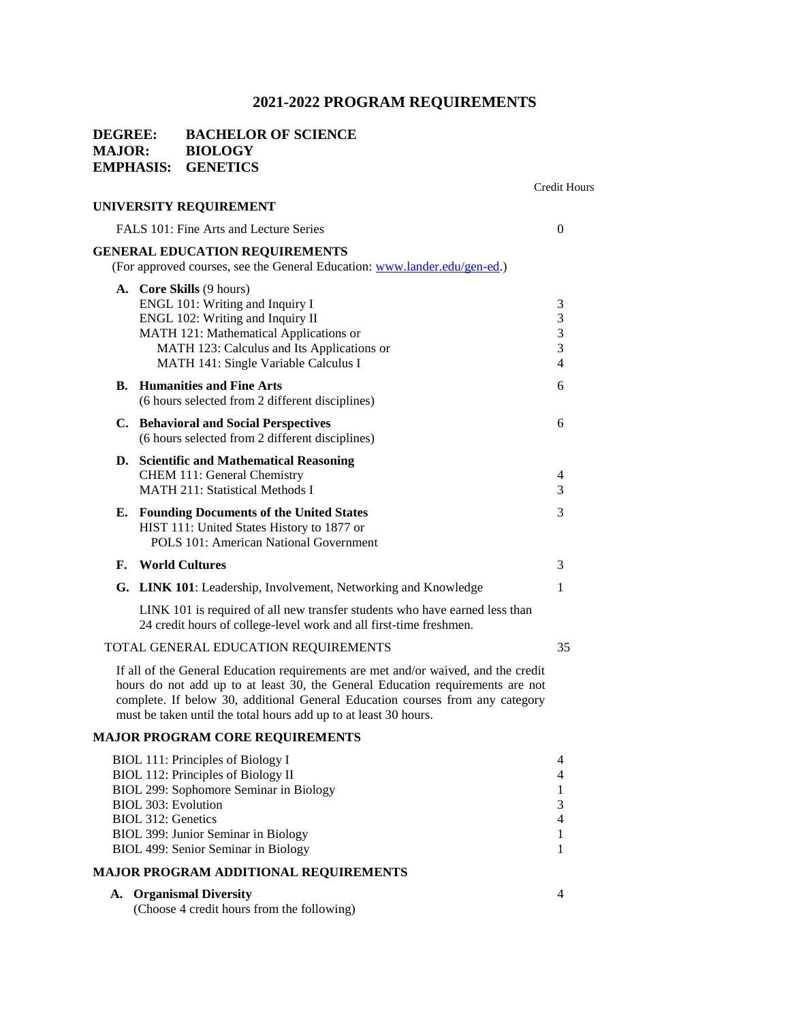# **2021-2022 PROGRAM REQUIREMENTS**

# **DEGREE: BACHELOR OF SCIENCE MAJOR: BIOLOGY EMPHASIS: GENETICS**

|                                                                                                                    | Credit Hours |
|--------------------------------------------------------------------------------------------------------------------|--------------|
| UNIVERSITY REQUIREMENT                                                                                             |              |
| FALS 101: Fine Arts and Lecture Series                                                                             | $\Omega$     |
| <b>GENERAL EDUCATION REQUIREMENTS</b><br>(For approved courses, see the General Education: www.lander.edu/gen-ed.) |              |
| A. Core Skills (9 hours)                                                                                           |              |
| ENGL 101: Writing and Inquiry I                                                                                    | 3            |
| ENGL 102: Writing and Inquiry II                                                                                   | 3            |
| MATH 121: Mathematical Applications or                                                                             | 3            |

| MATH 123: Calculus and Its Applications or<br>MATH 141: Single Variable Calculus I                                                        | 3<br>4              |
|-------------------------------------------------------------------------------------------------------------------------------------------|---------------------|
| <b>B.</b> Humanities and Fine Arts<br>(6 hours selected from 2 different disciplines)                                                     | 6                   |
| C. Behavioral and Social Perspectives<br>(6 hours selected from 2 different disciplines)                                                  | 6                   |
| D. Scientific and Mathematical Reasoning<br>CHEM 111: General Chemistry<br><b>MATH 211: Statistical Methods I</b>                         | $\overline{4}$<br>3 |
| <b>E.</b> Founding Documents of the United States<br>HIST 111: United States History to 1877 or<br>POLS 101: American National Government | 3                   |
| <b>F.</b> World Cultures                                                                                                                  | 3                   |

| G. LINK 101: Leadership, Involvement, Networking and Knowledge |  |
|----------------------------------------------------------------|--|
|                                                                |  |

LINK 101 is required of all new transfer students who have earned less than 24 credit hours of college-level work and all first-time freshmen.

### TOTAL GENERAL EDUCATION REQUIREMENTS 35

If all of the General Education requirements are met and/or waived, and the credit hours do not add up to at least 30, the General Education requirements are not complete. If below 30, additional General Education courses from any category must be taken until the total hours add up to at least 30 hours.

# **MAJOR PROGRAM CORE REQUIREMENTS**

| BIOL 111: Principles of Biology I            | 4              |  |  |  |  |
|----------------------------------------------|----------------|--|--|--|--|
| BIOL 112: Principles of Biology II           | 4              |  |  |  |  |
| BIOL 299: Sophomore Seminar in Biology       |                |  |  |  |  |
| BIOL 303: Evolution                          | 3              |  |  |  |  |
| BIOL 312: Genetics                           | $\overline{4}$ |  |  |  |  |
| BIOL 399: Junior Seminar in Biology          |                |  |  |  |  |
| BIOL 499: Senior Seminar in Biology          |                |  |  |  |  |
| <b>MAJOR PROGRAM ADDITIONAL REQUIREMENTS</b> |                |  |  |  |  |

| A. Organismal Diversity |  |  |  |  |  |
|-------------------------|--|--|--|--|--|
|                         |  |  |  |  |  |

(Choose 4 credit hours from the following)